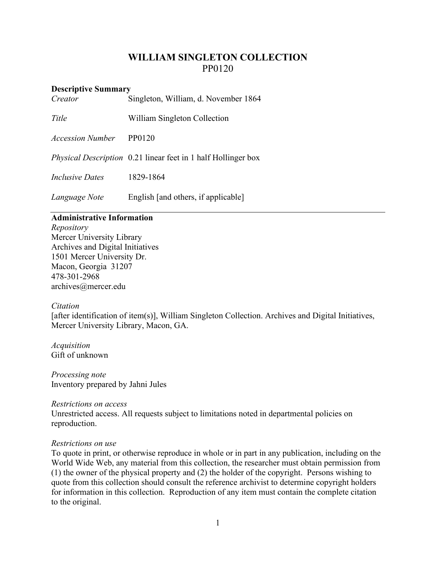# **WILLIAM SINGLETON COLLECTION** PP0120

#### **Descriptive Summary**

| Creator                 | Singleton, William, d. November 1864                                 |
|-------------------------|----------------------------------------------------------------------|
| Title                   | William Singleton Collection                                         |
| <i>Accession Number</i> | PP0120                                                               |
|                         | <i>Physical Description</i> 0.21 linear feet in 1 half Hollinger box |

*Inclusive Dates* 1829-1864

*Language Note* English [and others, if applicable]

## **Administrative Information**

*Repository* Mercer University Library Archives and Digital Initiatives 1501 Mercer University Dr. Macon, Georgia 31207 478-301-2968 [archives@mercer.edu](mailto:archives@mercer.edu)

## *Citation*

[after identification of item(s)], William Singleton Collection. Archives and Digital Initiatives, Mercer University Library, Macon, GA.

*Acquisition* Gift of unknown

*Processing note* Inventory prepared by Jahni Jules

#### *Restrictions on access*

Unrestricted access. All requests subject to limitations noted in departmental policies on reproduction.

## *Restrictions on use*

To quote in print, or otherwise reproduce in whole or in part in any publication, including on the World Wide Web, any material from this collection, the researcher must obtain permission from (1) the owner of the physical property and (2) the holder of the copyright. Persons wishing to quote from this collection should consult the reference archivist to determine copyright holders for information in this collection. Reproduction of any item must contain the complete citation to the original.